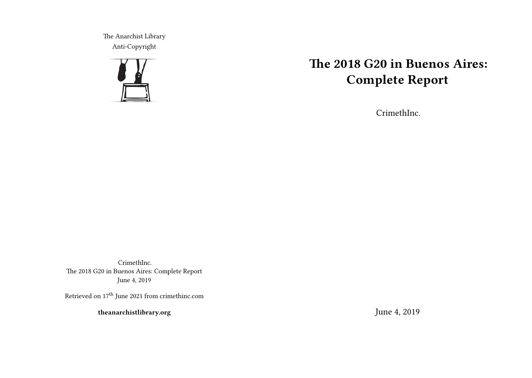The Anarchist Library Anti-Copyright



# **The 2018 G20 in Buenos Aires: Complete Report**

CrimethInc.

CrimethInc. The 2018 G20 in Buenos Aires: Complete Report June 4, 2019

Retrieved on  $17^{\rm th}$  June 2021 from crimethinc.com

**theanarchistlibrary.org**

June 4, 2019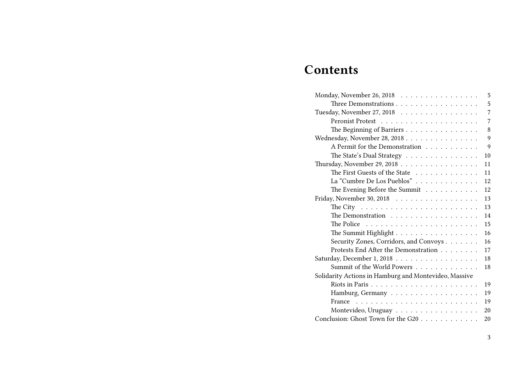# **Contents**

| Monday, November 26, 2018                                                                    | 5              |
|----------------------------------------------------------------------------------------------|----------------|
| Three Demonstrations                                                                         | 5              |
| Tuesday, November 27, 2018                                                                   | $\overline{7}$ |
|                                                                                              | 7              |
| The Beginning of Barriers                                                                    | 8              |
| Wednesday, November 28, 2018                                                                 | 9              |
| A Permit for the Demonstration                                                               | 9              |
| The State's Dual Strategy                                                                    | 10             |
| Thursday, November 29, 2018                                                                  | 11             |
| The First Guests of the State                                                                | 11             |
| La "Cumbre De Los Pueblos"                                                                   | 12             |
| The Evening Before the Summit                                                                | 12             |
| Friday, November 30, 2018 $\ldots \ldots \ldots \ldots \ldots$                               | 13             |
| The City $\dots \dots \dots \dots \dots \dots \dots \dots \dots \dots$                       | 13             |
| The Demonstration                                                                            | 14             |
| The Police $\ldots \ldots \ldots \ldots \ldots \ldots \ldots$                                | 15             |
| The Summit Highlight                                                                         | 16             |
| Security Zones, Corridors, and Convoys                                                       | 16             |
| Protests End After the Demonstration                                                         | 17             |
| Saturday, December 1, 2018                                                                   | 18             |
| Summit of the World Powers                                                                   | 18             |
| Solidarity Actions in Hamburg and Montevideo, Massive                                        |                |
|                                                                                              | 19             |
| Hamburg, Germany                                                                             | 19             |
| France $\ldots$ , $\ldots$ , $\ldots$ , $\ldots$ , $\ldots$ , $\ldots$ , $\ldots$ , $\ldots$ | 19             |
| Montevideo, Uruguay                                                                          | 20             |
| Conclusion: Ghost Town for the G20                                                           | 20             |
|                                                                                              |                |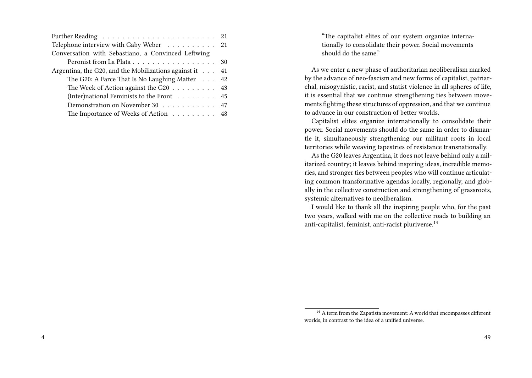| Telephone interview with Gaby Weber 21                       |  |
|--------------------------------------------------------------|--|
| Conversation with Sebastiano, a Convinced Leftwing           |  |
|                                                              |  |
| Argentina, the G20, and the Mobilizations against it 41      |  |
| The G20: A Farce That Is No Laughing Matter 42               |  |
| The Week of Action against the G20 $\ldots \ldots \ldots$ 43 |  |
| (Inter)national Feminists to the Front $\dots \dots$ 45      |  |
| Demonstration on November 30 47                              |  |
| The Importance of Weeks of Action 48                         |  |

"The capitalist elites of our system organize internationally to consolidate their power. Social movements should do the same."

As we enter a new phase of authoritarian neoliberalism marked by the advance of neo-fascism and new forms of capitalist, patriarchal, misogynistic, racist, and statist violence in all spheres of life, it is essential that we continue strengthening ties between movements fighting these structures of oppression, and that we continue to advance in our construction of better worlds.

Capitalist elites organize internationally to consolidate their power. Social movements should do the same in order to dismantle it, simultaneously strengthening our militant roots in local territories while weaving tapestries of resistance transnationally.

As the G20 leaves Argentina, it does not leave behind only a militarized country; it leaves behind inspiring ideas, incredible memories, and stronger ties between peoples who will continue articulating common transformative agendas locally, regionally, and globally in the collective construction and strengthening of grassroots, systemic alternatives to neoliberalism.

I would like to thank all the inspiring people who, for the past two years, walked with me on the collective roads to building an anti-capitalist, feminist, anti-racist pluriverse.<sup>14</sup>

<sup>&</sup>lt;sup>14</sup> A term from the Zapatista movement: A world that encompasses different worlds, in contrast to the idea of a unified universe.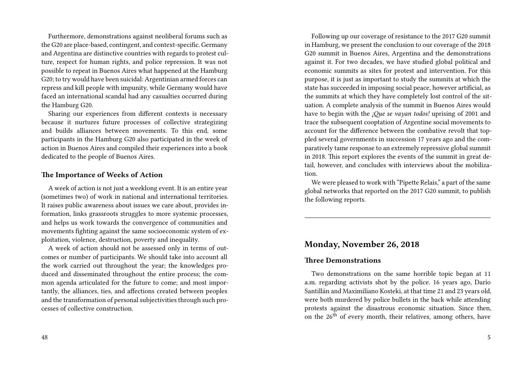Furthermore, demonstrations against neoliberal forums such as the G20 are place-based, contingent, and context-specific. Germany and Argentina are distinctive countries with regards to protest culture, respect for human rights, and police repression. It was not possible to repeat in Buenos Aires what happened at the Hamburg G20; to try would have been suicidal: Argentinian armed forces can repress and kill people with impunity, while Germany would have faced an international scandal had any casualties occurred during the Hamburg G20.

Sharing our experiences from different contexts is necessary because it nurtures future processes of collective strategizing and builds alliances between movements. To this end, some participants in the Hamburg G20 also participated in the week of action in Buenos Aires and compiled their experiences into a book dedicated to the people of Buenos Aires.

## **The Importance of Weeks of Action**

A week of action is not just a weeklong event. It is an entire year (sometimes two) of work in national and international territories. It raises public awareness about issues we care about, provides information, links grassroots struggles to more systemic processes, and helps us work towards the convergence of communities and movements fighting against the same socioeconomic system of exploitation, violence, destruction, poverty and inequality.

A week of action should not be assessed only in terms of outcomes or number of participants. We should take into account all the work carried out throughout the year; the knowledges produced and disseminated throughout the entire process; the common agenda articulated for the future to come; and most importantly, the alliances, ties, and affections created between peoples and the transformation of personal subjectivities through such processes of collective construction.

Following up our coverage of resistance to the 2017 G20 summit in Hamburg, we present the conclusion to our coverage of the 2018 G20 summit in Buenos Aires, Argentina and the demonstrations against it. For two decades, we have studied global political and economic summits as sites for protest and intervention. For this purpose, it is just as important to study the summits at which the state has succeeded in imposing social peace, however artificial, as the summits at which they have completely lost control of the situation. A complete analysis of the summit in Buenos Aires would have to begin with the *¡Que se vayan todos!* uprising of 2001 and trace the subsequent cooptation of Argentine social movements to account for the difference between the combative revolt that toppled several governments in succession 17 years ago and the comparatively tame response to an extremely repressive global summit in 2018. This report explores the events of the summit in great detail, however, and concludes with interviews about the mobilization.

We were pleased to work with "Pipette Relais," a part of the same global networks that reported on the 2017 G20 summit, to publish the following reports.

# **Monday, November 26, 2018**

#### **Three Demonstrations**

Two demonstrations on the same horrible topic began at 11 a.m. regarding activists shot by the police. 16 years ago, Darío Santillán and Maximiliano Kosteki, at that time 21 and 23 years old, were both murdered by police bullets in the back while attending protests against the disastrous economic situation. Since then, on the 26<sup>th</sup> of every month, their relatives, among others, have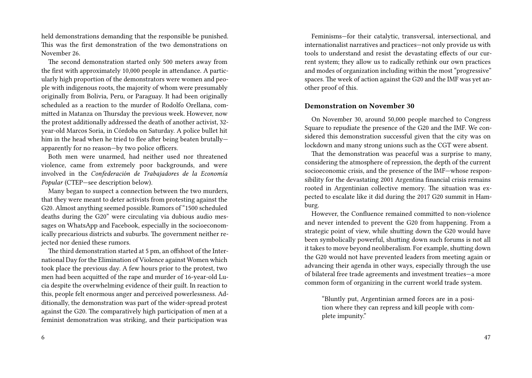held demonstrations demanding that the responsible be punished. This was the first demonstration of the two demonstrations on November 26.

The second demonstration started only 500 meters away from the first with approximately 10,000 people in attendance. A particularly high proportion of the demonstrators were women and people with indigenous roots, the majority of whom were presumably originally from Bolivia, Peru, or Paraguay. It had been originally scheduled as a reaction to the murder of Rodolfo Orellana, committed in Matanza on Thursday the previous week. However, now the protest additionally addressed the death of another activist, 32 year-old Marcos Soria, in Córdoba on Saturday. A police bullet hit him in the head when he tried to flee after being beaten brutally apparently for no reason—by two police officers.

Both men were unarmed, had neither used nor threatened violence, came from extremely poor backgrounds, and were involved in the *Confederación de Trabajadores de la Economía Popular* (CTEP—see description below).

Many began to suspect a connection between the two murders, that they were meant to deter activists from protesting against the G20. Almost anything seemed possible. Rumors of "1500 scheduled deaths during the G20" were circulating via dubious audio messages on WhatsApp and Facebook, especially in the socioeconomically precarious districts and suburbs. The government neither rejected nor denied these rumors.

The third demonstration started at 5 pm, an offshoot of the International Day for the Elimination of Violence against Women which took place the previous day. A few hours prior to the protest, two men had been acquitted of the rape and murder of 16-year-old Lucia despite the overwhelming evidence of their guilt. In reaction to this, people felt enormous anger and perceived powerlessness. Additionally, the demonstration was part of the wider-spread protest against the G20. The comparatively high participation of men at a feminist demonstration was striking, and their participation was

Feminisms—for their catalytic, transversal, intersectional, and internationalist narratives and practices—not only provide us with tools to understand and resist the devastating effects of our current system; they allow us to radically rethink our own practices and modes of organization including within the most "progressive" spaces. The week of action against the G20 and the IMF was yet another proof of this.

#### **Demonstration on November 30**

On November 30, around 50,000 people marched to Congress Square to repudiate the presence of the G20 and the IMF. We considered this demonstration successful given that the city was on lockdown and many strong unions such as the CGT were absent.

That the demonstration was peaceful was a surprise to many, considering the atmosphere of repression, the depth of the current socioeconomic crisis, and the presence of the IMF—whose responsibility for the devastating 2001 Argentina financial crisis remains rooted in Argentinian collective memory. The situation was expected to escalate like it did during the 2017 G20 summit in Hamburg.

However, the Confluence remained committed to non-violence and never intended to prevent the G20 from happening. From a strategic point of view, while shutting down the G20 would have been symbolically powerful, shutting down such forums is not all it takes to move beyond neoliberalism. For example, shutting down the G20 would not have prevented leaders from meeting again or advancing their agenda in other ways, especially through the use of bilateral free trade agreements and investment treaties—a more common form of organizing in the current world trade system.

"Bluntly put, Argentinian armed forces are in a position where they can repress and kill people with complete impunity."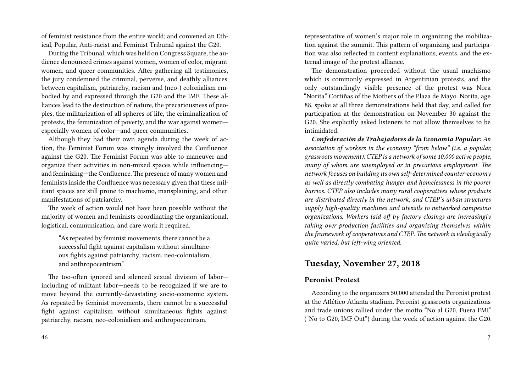of feminist resistance from the entire world; and convened an Ethical, Popular, Anti-racist and Feminist Tribunal against the G20.

During the Tribunal, which was held on Congress Square, the audience denounced crimes against women, women of color, migrant women, and queer communities. After gathering all testimonies, the jury condemned the criminal, perverse, and deathly alliances between capitalism, patriarchy, racism and (neo-) colonialism embodied by and expressed through the G20 and the IMF. These alliances lead to the destruction of nature, the precariousness of peoples, the militarization of all spheres of life, the criminalization of protests, the feminization of poverty, and the war against women especially women of color—and queer communities.

Although they had their own agenda during the week of action, the Feminist Forum was strongly involved the Confluence against the G20. The Feminist Forum was able to maneuver and organize their activities in non-mixed spaces while influencing and feminizing—the Confluence. The presence of many women and feminists inside the Confluence was necessary given that these militant spaces are still prone to machismo, mansplaining, and other manifestations of patriarchy.

The week of action would not have been possible without the majority of women and feminists coordinating the organizational, logistical, communication, and care work it required.

"As repeated by feminist movements, there cannot be a successful fight against capitalism without simultaneous fights against patriarchy, racism, neo-colonialism, and anthropocentrism."

The too-often ignored and silenced sexual division of labor including of militant labor—needs to be recognized if we are to move beyond the currently-devastating socio-economic system. As repeated by feminist movements, there cannot be a successful fight against capitalism without simultaneous fights against patriarchy, racism, neo-colonialism and anthropocentrism.

representative of women's major role in organizing the mobilization against the summit. This pattern of organizing and participation was also reflected in content explanations, events, and the external image of the protest alliance.

The demonstration proceeded without the usual machismo which is commonly expressed in Argentinian protests, and the only outstandingly visible presence of the protest was Nora "Norita" Cortiñas of the Mothers of the Plaza de Mayo. Norita, age 88, spoke at all three demonstrations held that day, and called for participation at the demonstration on November 30 against the G20. She explicitly asked listeners to not allow themselves to be intimidated.

*Confederación de Trabajadores de la Economía Popular: An association of workers in the economy "from below" (i.e. a popular, grassroots movement). CTEP is a network of some 10,000 active people, many of whom are unemployed or in precarious employment. The network focuses on building its own self-determined counter-economy as well as directly combating hunger and homelessness in the poorer barrios. CTEP also includes many rural cooperatives whose products are distributed directly in the network, and CTEP's urban structures supply high-quality machines and utensils to networked campesino organizations. Workers laid off by factory closings are increasingly taking over production facilities and organizing themselves within the framework of cooperatives and CTEP. The network is ideologically quite varied, but left-wing oriented.*

# **Tuesday, November 27, 2018**

## **Peronist Protest**

According to the organizers 50,000 attended the Peronist protest at the Atlético Atlanta stadium. Peronist grassroots organizations and trade unions rallied under the motto "No al G20, Fuera FMI" ("No to G20, IMF Out") during the week of action against the G20.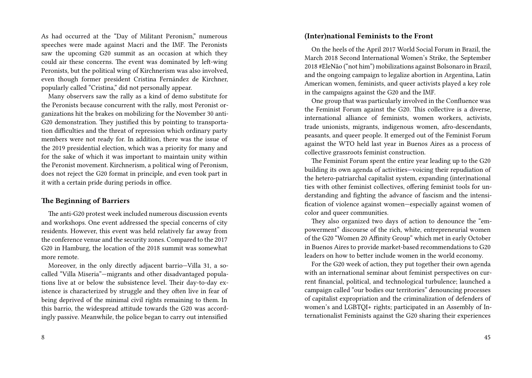As had occurred at the "Day of Militant Peronism," numerous speeches were made against Macri and the IMF. The Peronists saw the upcoming G20 summit as an occasion at which they could air these concerns. The event was dominated by left-wing Peronists, but the political wing of Kirchnerism was also involved, even though former president Cristina Fernández de Kirchner, popularly called "Cristina," did not personally appear.

Many observers saw the rally as a kind of demo substitute for the Peronists because concurrent with the rally, most Peronist organizations hit the brakes on mobilizing for the November 30 anti-G20 demonstration. They justified this by pointing to transportation difficulties and the threat of repression which ordinary party members were not ready for. In addition, there was the issue of the 2019 presidential election, which was a priority for many and for the sake of which it was important to maintain unity within the Peronist movement. Kirchnerism, a political wing of Peronism, does not reject the G20 format in principle, and even took part in it with a certain pride during periods in office.

# **The Beginning of Barriers**

The anti-G20 protest week included numerous discussion events and workshops. One event addressed the special concerns of city residents. However, this event was held relatively far away from the conference venue and the security zones. Compared to the 2017 G20 in Hamburg, the location of the 2018 summit was somewhat more remote.

Moreover, in the only directly adjacent barrio—Villa 31, a socalled "Villa Miseria"—migrants and other disadvantaged populations live at or below the subsistence level. Their day-to-day existence is characterized by struggle and they often live in fear of being deprived of the minimal civil rights remaining to them. In this barrio, the widespread attitude towards the G20 was accordingly passive. Meanwhile, the police began to carry out intensified

#### **(Inter)national Feminists to the Front**

On the heels of the April 2017 World Social Forum in Brazil, the March 2018 Second International Women's Strike, the September 2018 #EleNão ("not him") mobilizations against Bolsonaro in Brazil, and the ongoing campaign to legalize abortion in Argentina, Latin American women, feminists, and queer activists played a key role in the campaigns against the G20 and the IMF.

One group that was particularly involved in the Confluence was the Feminist Forum against the G20. This collective is a diverse, international alliance of feminists, women workers, activists, trade unionists, migrants, indigenous women, afro-descendants, peasants, and queer people. It emerged out of the Feminist Forum against the WTO held last year in Buenos Aires as a process of collective grassroots feminist construction.

The Feminist Forum spent the entire year leading up to the G20 building its own agenda of activities—voicing their repudiation of the hetero-patriarchal capitalist system, expanding (inter)national ties with other feminist collectives, offering feminist tools for understanding and fighting the advance of fascism and the intensification of violence against women—especially against women of color and queer communities.

They also organized two days of action to denounce the "empowerment" discourse of the rich, white, entrepreneurial women of the G20 "Women 20 Affinity Group" which met in early October in Buenos Aires to provide market-based recommendations to G20 leaders on how to better include women in the world economy.

For the G20 week of action, they put together their own agenda with an international seminar about feminist perspectives on current financial, political, and technological turbulence; launched a campaign called "our bodies our territories" denouncing processes of capitalist expropriation and the criminalization of defenders of women's and LGBTQI+ rights; participated in an Assembly of Internationalist Feminists against the G20 sharing their experiences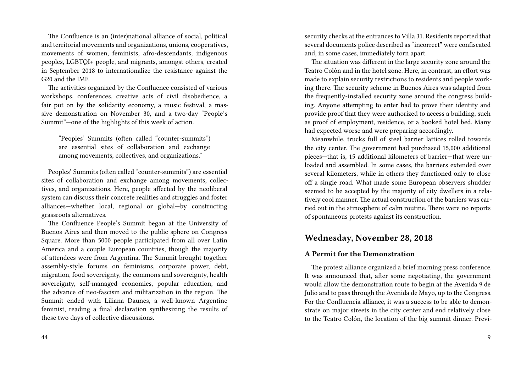The Confluence is an (inter)national alliance of social, political and territorial movements and organizations, unions, cooperatives, movements of women, feminists, afro-descendants, indigenous peoples, LGBTQI+ people, and migrants, amongst others, created in September 2018 to internationalize the resistance against the G20 and the IMF.

The activities organized by the Confluence consisted of various workshops, conferences, creative acts of civil disobedience, a fair put on by the solidarity economy, a music festival, a massive demonstration on November 30, and a two-day "People's Summit"—one of the highlights of this week of action.

"Peoples' Summits (often called "counter-summits") are essential sites of collaboration and exchange among movements, collectives, and organizations."

Peoples' Summits (often called "counter-summits") are essential sites of collaboration and exchange among movements, collectives, and organizations. Here, people affected by the neoliberal system can discuss their concrete realities and struggles and foster alliances—whether local, regional or global—by constructing grassroots alternatives.

The Confluence People's Summit began at the University of Buenos Aires and then moved to the public sphere on Congress Square. More than 5000 people participated from all over Latin America and a couple European countries, though the majority of attendees were from Argentina. The Summit brought together assembly-style forums on feminisms, corporate power, debt, migration, food sovereignty, the commons and sovereignty, health sovereignty, self-managed economies, popular education, and the advance of neo-fascism and militarization in the region. The Summit ended with Liliana Daunes, a well-known Argentine feminist, reading a final declaration synthesizing the results of these two days of collective discussions.

security checks at the entrances to Villa 31. Residents reported that several documents police described as "incorrect" were confiscated and, in some cases, immediately torn apart.

The situation was different in the large security zone around the Teatro Colón and in the hotel zone. Here, in contrast, an effort was made to explain security restrictions to residents and people working there. The security scheme in Buenos Aires was adapted from the frequently-installed security zone around the congress building. Anyone attempting to enter had to prove their identity and provide proof that they were authorized to access a building, such as proof of employment, residence, or a booked hotel bed. Many had expected worse and were preparing accordingly.

Meanwhile, trucks full of steel barrier lattices rolled towards the city center. The government had purchased 15,000 additional pieces—that is, 15 additional kilometers of barrier—that were unloaded and assembled. In some cases, the barriers extended over several kilometers, while in others they functioned only to close off a single road. What made some European observers shudder seemed to be accepted by the majority of city dwellers in a relatively cool manner. The actual construction of the barriers was carried out in the atmosphere of calm routine. There were no reports of spontaneous protests against its construction.

# **Wednesday, November 28, 2018**

#### **A Permit for the Demonstration**

The protest alliance organized a brief morning press conference. It was announced that, after some negotiating, the government would allow the demonstration route to begin at the Avenida 9 de Julio and to pass through the Avenida de Mayo, up to the Congress. For the Confluencia alliance, it was a success to be able to demonstrate on major streets in the city center and end relatively close to the Teatro Colón, the location of the big summit dinner. Previ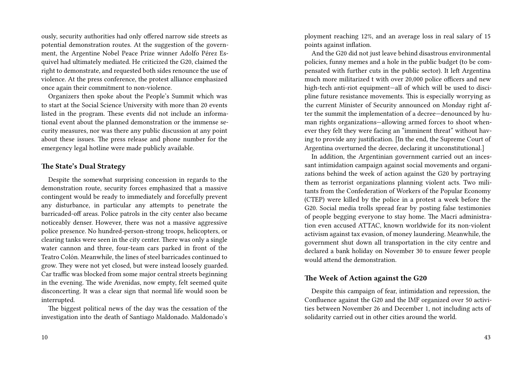ously, security authorities had only offered narrow side streets as potential demonstration routes. At the suggestion of the government, the Argentine Nobel Peace Prize winner Adolfo Pérez Esquivel had ultimately mediated. He criticized the G20, claimed the right to demonstrate, and requested both sides renounce the use of violence. At the press conference, the protest alliance emphasized once again their commitment to non-violence.

Organizers then spoke about the People's Summit which was to start at the Social Science University with more than 20 events listed in the program. These events did not include an informational event about the planned demonstration or the immense security measures, nor was there any public discussion at any point about these issues. The press release and phone number for the emergency legal hotline were made publicly available.

#### **The State's Dual Strategy**

Despite the somewhat surprising concession in regards to the demonstration route, security forces emphasized that a massive contingent would be ready to immediately and forcefully prevent any disturbance, in particular any attempts to penetrate the barricaded-off areas. Police patrols in the city center also became noticeably denser. However, there was not a massive aggressive police presence. No hundred-person-strong troops, helicopters, or clearing tanks were seen in the city center. There was only a single water cannon and three, four-team cars parked in front of the Teatro Colón. Meanwhile, the lines of steel barricades continued to grow. They were not yet closed, but were instead loosely guarded. Car traffic was blocked from some major central streets beginning in the evening. The wide Avenidas, now empty, felt seemed quite disconcerting. It was a clear sign that normal life would soon be interrupted.

The biggest political news of the day was the cessation of the investigation into the death of Santiago Maldonado. Maldonado's

ployment reaching 12%, and an average loss in real salary of 15 points against inflation.

And the G20 did not just leave behind disastrous environmental policies, funny memes and a hole in the public budget (to be compensated with further cuts in the public sector). It left Argentina much more militarized t with over 20,000 police officers and new high-tech anti-riot equipment—all of which will be used to discipline future resistance movements. This is especially worrying as the current Minister of Security announced on Monday right after the summit the implementation of a decree—denounced by human rights organizations—allowing armed forces to shoot whenever they felt they were facing an "imminent threat" without having to provide any justification. [In the end, the Supreme Court of Argentina overturned the decree, declaring it unconstitutional.]

In addition, the Argentinian government carried out an incessant intimidation campaign against social movements and organizations behind the week of action against the G20 by portraying them as terrorist organizations planning violent acts. Two militants from the Confederation of Workers of the Popular Economy (CTEP) were killed by the police in a protest a week before the G20. Social media trolls spread fear by posting false testimonies of people begging everyone to stay home. The Macri administration even accused ATTAC, known worldwide for its non-violent activism against tax evasion, of money laundering. Meanwhile, the government shut down all transportation in the city centre and declared a bank holiday on November 30 to ensure fewer people would attend the demonstration.

## **The Week of Action against the G20**

Despite this campaign of fear, intimidation and repression, the Confluence against the G20 and the IMF organized over 50 activities between November 26 and December 1, not including acts of solidarity carried out in other cities around the world.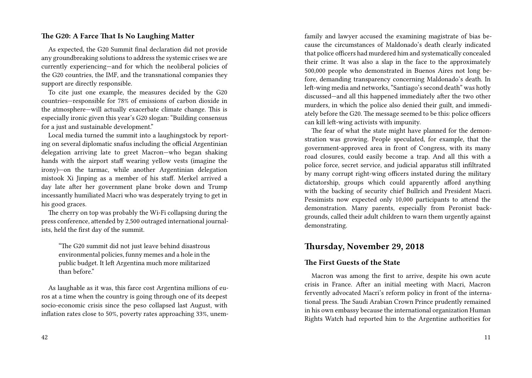## **The G20: A Farce That Is No Laughing Matter**

As expected, the G20 Summit final declaration did not provide any groundbreaking solutions to address the systemic crises we are currently experiencing—and for which the neoliberal policies of the G20 countries, the IMF, and the transnational companies they support are directly responsible.

To cite just one example, the measures decided by the G20 countries—responsible for 78% of emissions of carbon dioxide in the atmosphere—will actually exacerbate climate change. This is especially ironic given this year's G20 slogan: "Building consensus for a just and sustainable development."

Local media turned the summit into a laughingstock by reporting on several diplomatic snafus including the official Argentinian delegation arriving late to greet Macron—who began shaking hands with the airport staff wearing yellow vests (imagine the irony)—on the tarmac, while another Argentinian delegation mistook Xi Jinping as a member of his staff. Merkel arrived a day late after her government plane broke down and Trump incessantly humiliated Macri who was desperately trying to get in his good graces.

The cherry on top was probably the Wi-Fi collapsing during the press conference, attended by 2,500 outraged international journalists, held the first day of the summit.

"The G20 summit did not just leave behind disastrous environmental policies, funny memes and a hole in the public budget. It left Argentina much more militarized than before."

As laughable as it was, this farce cost Argentina millions of euros at a time when the country is going through one of its deepest socio-economic crisis since the peso collapsed last August, with inflation rates close to 50%, poverty rates approaching 33%, unemfamily and lawyer accused the examining magistrate of bias because the circumstances of Maldonado's death clearly indicated that police officers had murdered him and systematically concealed their crime. It was also a slap in the face to the approximately 500,000 people who demonstrated in Buenos Aires not long before, demanding transparency concerning Maldonado's death. In left-wing media and networks, "Santiago's second death" was hotly discussed—and all this happened immediately after the two other murders, in which the police also denied their guilt, and immediately before the G20. The message seemed to be this: police officers can kill left-wing activists with impunity.

The fear of what the state might have planned for the demonstration was growing. People speculated, for example, that the government-approved area in front of Congress, with its many road closures, could easily become a trap. And all this with a police force, secret service, and judicial apparatus still infiltrated by many corrupt right-wing officers instated during the military dictatorship, groups which could apparently afford anything with the backing of security chief Bullrich and President Macri. Pessimists now expected only 10,000 participants to attend the demonstration. Many parents, especially from Peronist backgrounds, called their adult children to warn them urgently against demonstrating.

# **Thursday, November 29, 2018**

## **The First Guests of the State**

Macron was among the first to arrive, despite his own acute crisis in France. After an initial meeting with Macri, Macron fervently advocated Macri's reform policy in front of the international press. The Saudi Arabian Crown Prince prudently remained in his own embassy because the international organization Human Rights Watch had reported him to the Argentine authorities for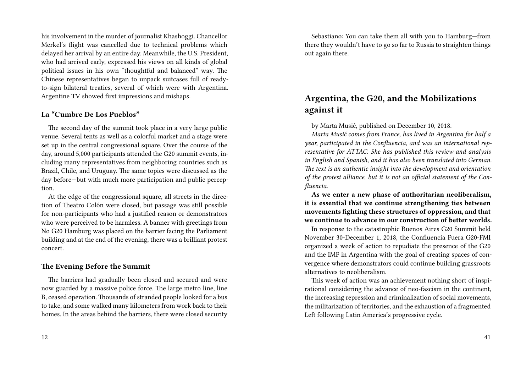his involvement in the murder of journalist Khashoggi. Chancellor Merkel's flight was cancelled due to technical problems which delayed her arrival by an entire day. Meanwhile, the U.S. President, who had arrived early, expressed his views on all kinds of global political issues in his own "thoughtful and balanced" way. The Chinese representatives began to unpack suitcases full of readyto-sign bilateral treaties, several of which were with Argentina. Argentine TV showed first impressions and mishaps.

# **La "Cumbre De Los Pueblos"**

The second day of the summit took place in a very large public venue. Several tents as well as a colorful market and a stage were set up in the central congressional square. Over the course of the day, around 5,000 participants attended the G20 summit events, including many representatives from neighboring countries such as Brazil, Chile, and Uruguay. The same topics were discussed as the day before—but with much more participation and public perception.

At the edge of the congressional square, all streets in the direction of Theatro Colón were closed, but passage was still possible for non-participants who had a justified reason or demonstrators who were perceived to be harmless. A banner with greetings from No G20 Hamburg was placed on the barrier facing the Parliament building and at the end of the evening, there was a brilliant protest concert.

#### **The Evening Before the Summit**

The barriers had gradually been closed and secured and were now guarded by a massive police force. The large metro line, line B, ceased operation. Thousands of stranded people looked for a bus to take, and some walked many kilometers from work back to their homes. In the areas behind the barriers, there were closed security

Sebastiano: You can take them all with you to Hamburg—from there they wouldn't have to go so far to Russia to straighten things out again there.

# **Argentina, the G20, and the Mobilizations against it**

by Marta Musić, published on December 10, 2018.

*Marta Musić comes from France, has lived in Argentina for half a year, participated in the Confluencia, and was an international representative for ATTAC. She has published this review and analysis in English and Spanish, and it has also been translated into German. The text is an authentic insight into the development and orientation of the protest alliance, but it is not an official statement of the Confluencia.*

**As we enter a new phase of authoritarian neoliberalism, it is essential that we continue strengthening ties between movements fighting these structures of oppression, and that we continue to advance in our construction of better worlds.**

In response to the catastrophic Buenos Aires G20 Summit held November 30-December 1, 2018, the Confluencia Fuera G20-FMI organized a week of action to repudiate the presence of the G20 and the IMF in Argentina with the goal of creating spaces of convergence where demonstrators could continue building grassroots alternatives to neoliberalism.

This week of action was an achievement nothing short of inspirational considering the advance of neo-fascism in the continent, the increasing repression and criminalization of social movements, the militarization of territories, and the exhaustion of a fragmented Left following Latin America's progressive cycle.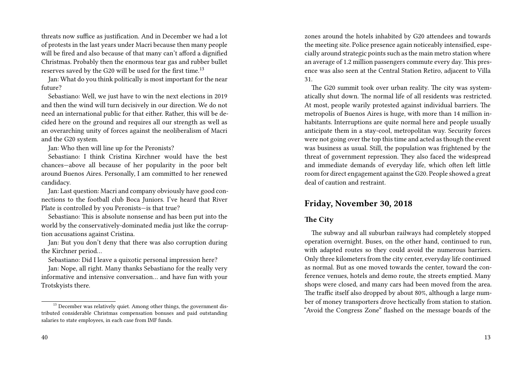threats now suffice as justification. And in December we had a lot of protests in the last years under Macri because then many people will be fired and also because of that many can't afford a dignified Christmas. Probably then the enormous tear gas and rubber bullet reserves saved by the G20 will be used for the first time.<sup>13</sup>

Jan: What do you think politically is most important for the near future?

Sebastiano: Well, we just have to win the next elections in 2019 and then the wind will turn decisively in our direction. We do not need an international public for that either. Rather, this will be decided here on the ground and requires all our strength as well as an overarching unity of forces against the neoliberalism of Macri and the G20 system.

Jan: Who then will line up for the Peronists?

Sebastiano: I think Cristina Kirchner would have the best chances—above all because of her popularity in the poor belt around Buenos Aires. Personally, I am committed to her renewed candidacy.

Jan: Last question: Macri and company obviously have good connections to the football club Boca Juniors. I've heard that River Plate is controlled by you Peronists—is that true?

Sebastiano: This is absolute nonsense and has been put into the world by the conservatively-dominated media just like the corruption accusations against Cristina.

Jan: But you don't deny that there was also corruption during the Kirchner period…

Sebastiano: Did I leave a quixotic personal impression here?

Jan: Nope, all right. Many thanks Sebastiano for the really very informative and intensive conversation… and have fun with your Trotskyists there.

zones around the hotels inhabited by G20 attendees and towards the meeting site. Police presence again noticeably intensified, especially around strategic points such as the main metro station where an average of 1.2 million passengers commute every day. This presence was also seen at the Central Station Retiro, adjacent to Villa 31.

The G20 summit took over urban reality. The city was systematically shut down. The normal life of all residents was restricted. At most, people warily protested against individual barriers. The metropolis of Buenos Aires is huge, with more than 14 million inhabitants. Interruptions are quite normal here and people usually anticipate them in a stay-cool, metropolitan way. Security forces were not going over the top this time and acted as though the event was business as usual. Still, the population was frightened by the threat of government repression. They also faced the widespread and immediate demands of everyday life, which often left little room for direct engagement against the G20. People showed a great deal of caution and restraint.

# **Friday, November 30, 2018**

## **The City**

The subway and all suburban railways had completely stopped operation overnight. Buses, on the other hand, continued to run, with adapted routes so they could avoid the numerous barriers. Only three kilometers from the city center, everyday life continued as normal. But as one moved towards the center, toward the conference venues, hotels and demo route, the streets emptied. Many shops were closed, and many cars had been moved from the area. The traffic itself also dropped by about 80%, although a large number of money transporters drove hectically from station to station. "Avoid the Congress Zone" flashed on the message boards of the

<sup>&</sup>lt;sup>13</sup> December was relatively quiet. Among other things, the government distributed considerable Christmas compensation bonuses and paid outstanding salaries to state employees, in each case from IMF funds.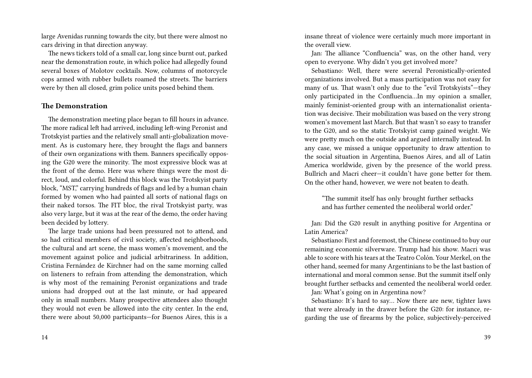large Avenidas running towards the city, but there were almost no cars driving in that direction anyway.

The news tickers told of a small car, long since burnt out, parked near the demonstration route, in which police had allegedly found several boxes of Molotov cocktails. Now, columns of motorcycle cops armed with rubber bullets roamed the streets. The barriers were by then all closed, grim police units posed behind them.

#### **The Demonstration**

The demonstration meeting place began to fill hours in advance. The more radical left had arrived, including left-wing Peronist and Trotskyist parties and the relatively small anti-globalization movement. As is customary here, they brought the flags and banners of their own organizations with them. Banners specifically opposing the G20 were the minority. The most expressive block was at the front of the demo. Here was where things were the most direct, loud, and colorful. Behind this block was the Trotskyist party block, "MST," carrying hundreds of flags and led by a human chain formed by women who had painted all sorts of national flags on their naked torsos. The FIT bloc, the rival Trotskyist party, was also very large, but it was at the rear of the demo, the order having been decided by lottery.

The large trade unions had been pressured not to attend, and so had critical members of civil society, affected neighborhoods, the cultural and art scene, the mass women's movement, and the movement against police and judicial arbitrariness. In addition, Cristina Fernández de Kirchner had on the same morning called on listeners to refrain from attending the demonstration, which is why most of the remaining Peronist organizations and trade unions had dropped out at the last minute, or had appeared only in small numbers. Many prospective attendees also thought they would not even be allowed into the city center. In the end, there were about 50,000 participants—for Buenos Aires, this is a insane threat of violence were certainly much more important in the overall view.

Jan: The alliance "Confluencia" was, on the other hand, very open to everyone. Why didn't you get involved more?

Sebastiano: Well, there were several Peronistically-oriented organizations involved. But a mass participation was not easy for many of us. That wasn't only due to the "evil Trotskyists"—they only participated in the Confluencia…In my opinion a smaller, mainly feminist-oriented group with an internationalist orientation was decisive. Their mobilization was based on the very strong women's movement last March. But that wasn't so easy to transfer to the G20, and so the static Trotskyist camp gained weight. We were pretty much on the outside and argued internally instead. In any case, we missed a unique opportunity to draw attention to the social situation in Argentina, Buenos Aires, and all of Latin America worldwide, given by the presence of the world press. Bullrich and Macri cheer—it couldn't have gone better for them. On the other hand, however, we were not beaten to death.

"The summit itself has only brought further setbacks and has further cemented the neoliberal world order."

Jan: Did the G20 result in anything positive for Argentina or Latin America?

Sebastiano: First and foremost, the Chinese continued to buy our remaining economic silverware. Trump had his show. Macri was able to score with his tears at the Teatro Colón. Your Merkel, on the other hand, seemed for many Argentinians to be the last bastion of international and moral common sense. But the summit itself only brought further setbacks and cemented the neoliberal world order.

Jan: What's going on in Argentina now?

Sebastiano: It's hard to say… Now there are new, tighter laws that were already in the drawer before the G20: for instance, regarding the use of firearms by the police, subjectively-perceived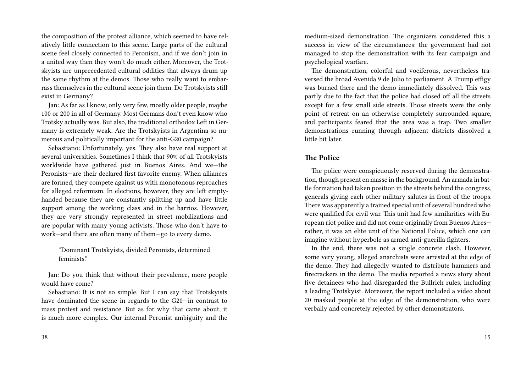the composition of the protest alliance, which seemed to have relatively little connection to this scene. Large parts of the cultural scene feel closely connected to Peronism, and if we don't join in a united way then they won't do much either. Moreover, the Trotskyists are unprecedented cultural oddities that always drum up the same rhythm at the demos. Those who really want to embarrass themselves in the cultural scene join them. Do Trotskyists still exist in Germany?

Jan: As far as I know, only very few, mostly older people, maybe 100 or 200 in all of Germany. Most Germans don't even know who Trotsky actually was. But also, the traditional orthodox Left in Germany is extremely weak. Are the Trotskyists in Argentina so numerous and politically important for the anti-G20 campaign?

Sebastiano: Unfortunately, yes. They also have real support at several universities. Sometimes I think that 90% of all Trotskyists worldwide have gathered just in Buenos Aires. And we—the Peronists—are their declared first favorite enemy. When alliances are formed, they compete against us with monotonous reproaches for alleged reformism. In elections, however, they are left emptyhanded because they are constantly splitting up and have little support among the working class and in the barrios. However, they are very strongly represented in street mobilizations and are popular with many young activists. Those who don't have to work—and there are often many of them—go to every demo.

"Dominant Trotskyists, divided Peronists, determined feminists."

Jan: Do you think that without their prevalence, more people would have come?

Sebastiano: It is not so simple. But I can say that Trotskyists have dominated the scene in regards to the G20—in contrast to mass protest and resistance. But as for why that came about, it is much more complex. Our internal Peronist ambiguity and the medium-sized demonstration. The organizers considered this a success in view of the circumstances: the government had not managed to stop the demonstration with its fear campaign and psychological warfare.

The demonstration, colorful and vociferous, nevertheless traversed the broad Avenida 9 de Julio to parliament. A Trump effigy was burned there and the demo immediately dissolved. This was partly due to the fact that the police had closed off all the streets except for a few small side streets. Those streets were the only point of retreat on an otherwise completely surrounded square, and participants feared that the area was a trap. Two smaller demonstrations running through adjacent districts dissolved a little bit later.

#### **The Police**

The police were conspicuously reserved during the demonstration, though present en masse in the background. An armada in battle formation had taken position in the streets behind the congress, generals giving each other military salutes in front of the troops. There was apparently a trained special unit of several hundred who were qualified for civil war. This unit had few similarities with European riot police and did not come originally from Buenos Aires rather, it was an elite unit of the National Police, which one can imagine without hyperbole as armed anti-guerilla fighters.

In the end, there was not a single concrete clash. However, some very young, alleged anarchists were arrested at the edge of the demo. They had allegedly wanted to distribute hammers and firecrackers in the demo. The media reported a news story about five detainees who had disregarded the Bullrich rules, including a leading Trotskyist. Moreover, the report included a video about 20 masked people at the edge of the demonstration, who were verbally and concretely rejected by other demonstrators.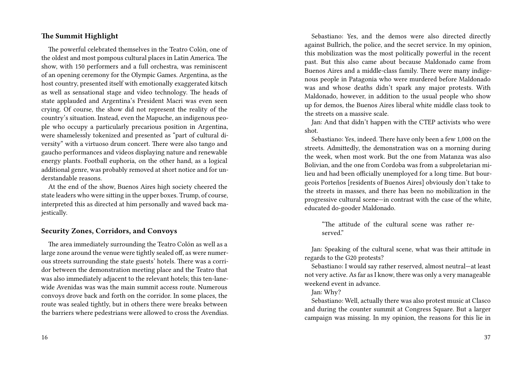## **The Summit Highlight**

The powerful celebrated themselves in the Teatro Colón, one of the oldest and most pompous cultural places in Latin America. The show, with 150 performers and a full orchestra, was reminiscent of an opening ceremony for the Olympic Games. Argentina, as the host country, presented itself with emotionally exaggerated kitsch as well as sensational stage and video technology. The heads of state applauded and Argentina's President Macri was even seen crying. Of course, the show did not represent the reality of the country's situation. Instead, even the Mapuche, an indigenous people who occupy a particularly precarious position in Argentina, were shamelessly tokenized and presented as "part of cultural diversity" with a virtuoso drum concert. There were also tango and gaucho performances and videos displaying nature and renewable energy plants. Football euphoria, on the other hand, as a logical additional genre, was probably removed at short notice and for understandable reasons.

At the end of the show, Buenos Aires high society cheered the state leaders who were sitting in the upper boxes. Trump, of course, interpreted this as directed at him personally and waved back majestically.

# **Security Zones, Corridors, and Convoys**

The area immediately surrounding the Teatro Colón as well as a large zone around the venue were tightly sealed off, as were numerous streets surrounding the state guests' hotels. There was a corridor between the demonstration meeting place and the Teatro that was also immediately adjacent to the relevant hotels; this ten-lanewide Avenidas was was the main summit access route. Numerous convoys drove back and forth on the corridor. In some places, the route was sealed tightly, but in others there were breaks between the barriers where pedestrians were allowed to cross the Avendias.

Sebastiano: Yes, and the demos were also directed directly against Bullrich, the police, and the secret service. In my opinion, this mobilization was the most politically powerful in the recent past. But this also came about because Maldonado came from Buenos Aires and a middle-class family. There were many indigenous people in Patagonia who were murdered before Maldonado was and whose deaths didn't spark any major protests. With Maldonado, however, in addition to the usual people who show up for demos, the Buenos Aires liberal white middle class took to the streets on a massive scale.

Jan: And that didn't happen with the CTEP activists who were shot.

Sebastiano: Yes, indeed. There have only been a few 1,000 on the streets. Admittedly, the demonstration was on a morning during the week, when most work. But the one from Matanza was also Bolivian, and the one from Cordoba was from a subproletarian milieu and had been officially unemployed for a long time. But bourgeois Porteños [residents of Buenos Aires] obviously don't take to the streets in masses, and there has been no mobilization in the progressive cultural scene—in contrast with the case of the white, educated do-gooder Maldonado.

"The attitude of the cultural scene was rather reserved."

Jan: Speaking of the cultural scene, what was their attitude in regards to the G20 protests?

Sebastiano: I would say rather reserved, almost neutral—at least not very active. As far as I know, there was only a very manageable weekend event in advance.

Jan: Why?

Sebastiano: Well, actually there was also protest music at Clasco and during the counter summit at Congress Square. But a larger campaign was missing. In my opinion, the reasons for this lie in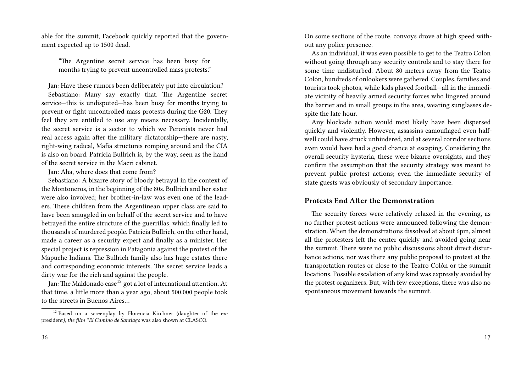able for the summit, Facebook quickly reported that the government expected up to 1500 dead.

"The Argentine secret service has been busy for months trying to prevent uncontrolled mass protests."

Jan: Have these rumors been deliberately put into circulation? Sebastiano: Many say exactly that. The Argentine secret service—this is undisputed—has been busy for months trying to prevent or fight uncontrolled mass protests during the G20. They feel they are entitled to use any means necessary. Incidentally, the secret service is a sector to which we Peronists never had real access again after the military dictatorship—there are nasty, right-wing radical, Mafia structures romping around and the CIA is also on board. Patricia Bullrich is, by the way, seen as the hand of the secret service in the Macri cabinet.

Jan: Aha, where does that come from?

Sebastiano: A bizarre story of bloody betrayal in the context of the Montoneros, in the beginning of the 80s. Bullrich and her sister were also involved; her brother-in-law was even one of the leaders. These children from the Argentinean upper class are said to have been smuggled in on behalf of the secret service and to have betrayed the entire structure of the guerrillas, which finally led to thousands of murdered people. Patricia Bullrich, on the other hand, made a career as a security expert and finally as a minister. Her special project is repression in Patagonia against the protest of the Mapuche Indians. The Bullrich family also has huge estates there and corresponding economic interests. The secret service leads a dirty war for the rich and against the people.

Jan: The Maldonado case<sup>12</sup> got a lot of international attention. At that time, a little more than a year ago, about 500,000 people took to the streets in Buenos Aires…

On some sections of the route, convoys drove at high speed without any police presence.

As an individual, it was even possible to get to the Teatro Colon without going through any security controls and to stay there for some time undisturbed. About 80 meters away from the Teatro Colón, hundreds of onlookers were gathered. Couples, families and tourists took photos, while kids played football—all in the immediate vicinity of heavily armed security forces who lingered around the barrier and in small groups in the area, wearing sunglasses despite the late hour.

Any blockade action would most likely have been dispersed quickly and violently. However, assassins camouflaged even halfwell could have struck unhindered, and at several corridor sections even would have had a good chance at escaping. Considering the overall security hysteria, these were bizarre oversights, and they confirm the assumption that the security strategy was meant to prevent public protest actions; even the immediate security of state guests was obviously of secondary importance.

#### **Protests End After the Demonstration**

The security forces were relatively relaxed in the evening, as no further protest actions were announced following the demonstration. When the demonstrations dissolved at about 6pm, almost all the protesters left the center quickly and avoided going near the summit. There were no public discussions about direct disturbance actions, nor was there any public proposal to protest at the transportation routes or close to the Teatro Colón or the summit locations. Possible escalation of any kind was expressly avoided by the protest organizers. But, with few exceptions, there was also no spontaneous movement towards the summit.

<sup>&</sup>lt;sup>12</sup> Based on a screenplay by Florencia Kirchner (daughter of the expresident*), the film \*El Camino de Santiago* was also shown at CLASCO.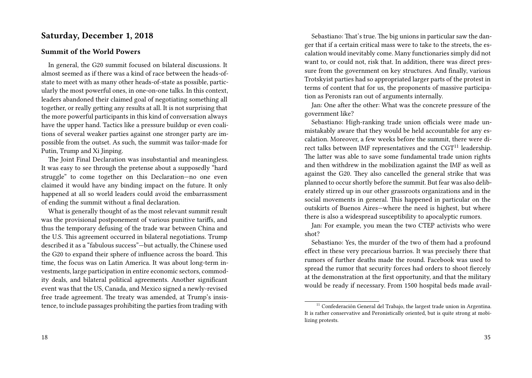# **Saturday, December 1, 2018**

#### **Summit of the World Powers**

In general, the G20 summit focused on bilateral discussions. It almost seemed as if there was a kind of race between the heads-ofstate to meet with as many other heads-of-state as possible, particularly the most powerful ones, in one-on-one talks. In this context, leaders abandoned their claimed goal of negotiating something all together, or really getting any results at all. It is not surprising that the more powerful participants in this kind of conversation always have the upper hand. Tactics like a pressure buildup or even coalitions of several weaker parties against one stronger party are impossible from the outset. As such, the summit was tailor-made for Putin, Trump and Xi Jinping.

The Joint Final Declaration was insubstantial and meaningless. It was easy to see through the pretense about a supposedly "hard struggle" to come together on this Declaration—no one even claimed it would have any binding impact on the future. It only happened at all so world leaders could avoid the embarrassment of ending the summit without a final declaration.

What is generally thought of as the most relevant summit result was the provisional postponement of various punitive tariffs, and thus the temporary defusing of the trade war between China and the U.S. This agreement occurred in bilateral negotiations. Trump described it as a "fabulous success"—but actually, the Chinese used the G20 to expand their sphere of influence across the board. This time, the focus was on Latin America. It was about long-term investments, large participation in entire economic sectors, commodity deals, and bilateral political agreements. Another significant event was that the US, Canada, and Mexico signed a newly-revised free trade agreement. The treaty was amended, at Trump's insistence, to include passages prohibiting the parties from trading with

Sebastiano: That's true. The big unions in particular saw the danger that if a certain critical mass were to take to the streets, the escalation would inevitably come. Many functionaries simply did not want to, or could not, risk that. In addition, there was direct pressure from the government on key structures. And finally, various Trotskyist parties had so appropriated larger parts of the protest in terms of content that for us, the proponents of massive participation as Peronists ran out of arguments internally.

Jan: One after the other: What was the concrete pressure of the government like?

Sebastiano: High-ranking trade union officials were made unmistakably aware that they would be held accountable for any escalation. Moreover, a few weeks before the summit, there were direct talks between IMF representatives and the  $CGT<sup>11</sup>$  leadership. The latter was able to save some fundamental trade union rights and then withdrew in the mobilization against the IMF as well as against the G20. They also cancelled the general strike that was planned to occur shortly before the summit. But fear was also deliberately stirred up in our other grassroots organizations and in the social movements in general. This happened in particular on the outskirts of Buenos Aires—where the need is highest, but where there is also a widespread susceptibility to apocalyptic rumors.

Jan: For example, you mean the two CTEP activists who were shot?

Sebastiano: Yes, the murder of the two of them had a profound effect in these very precarious barrios. It was precisely there that rumors of further deaths made the round. Facebook was used to spread the rumor that security forces had orders to shoot fiercely at the demonstration at the first opportunity, and that the military would be ready if necessary. From 1500 hospital beds made avail-

<sup>&</sup>lt;sup>11</sup> Confederación General del Trabajo, the largest trade union in Argentina. It is rather conservative and Peronistically oriented, but is quite strong at mobilizing protests.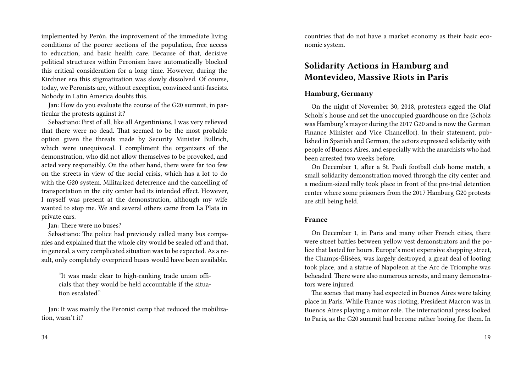implemented by Perón, the improvement of the immediate living conditions of the poorer sections of the population, free access to education, and basic health care. Because of that, decisive political structures within Peronism have automatically blocked this critical consideration for a long time. However, during the Kirchner era this stigmatization was slowly dissolved. Of course, today, we Peronists are, without exception, convinced anti-fascists. Nobody in Latin America doubts this.

Jan: How do you evaluate the course of the G20 summit, in particular the protests against it?

Sebastiano: First of all, like all Argentinians, I was very relieved that there were no dead. That seemed to be the most probable option given the threats made by Security Minister Bullrich, which were unequivocal. I compliment the organizers of the demonstration, who did not allow themselves to be provoked, and acted very responsibly. On the other hand, there were far too few on the streets in view of the social crisis, which has a lot to do with the G20 system. Militarized deterrence and the cancelling of transportation in the city center had its intended effect. However, I myself was present at the demonstration, although my wife wanted to stop me. We and several others came from La Plata in private cars.

Jan: There were no buses?

Sebastiano: The police had previously called many bus companies and explained that the whole city would be sealed off and that, in general, a very complicated situation was to be expected. As a result, only completely overpriced buses would have been available.

"It was made clear to high-ranking trade union officials that they would be held accountable if the situation escalated"

Jan: It was mainly the Peronist camp that reduced the mobilization, wasn't it?

countries that do not have a market economy as their basic economic system.

# **Solidarity Actions in Hamburg and Montevideo, Massive Riots in Paris**

# **Hamburg, Germany**

On the night of November 30, 2018, protesters egged the Olaf Scholz's house and set the unoccupied guardhouse on fire (Scholz was Hamburg's mayor during the 2017 G20 and is now the German Finance Minister and Vice Chancellor). In their statement, published in Spanish and German, the actors expressed solidarity with people of Buenos Aires, and especially with the anarchists who had been arrested two weeks before.

On December 1, after a St. Pauli football club home match, a small solidarity demonstration moved through the city center and a medium-sized rally took place in front of the pre-trial detention center where some prisoners from the 2017 Hamburg G20 protests are still being held.

#### **France**

On December 1, in Paris and many other French cities, there were street battles between yellow vest demonstrators and the police that lasted for hours. Europe's most expensive shopping street, the Champs-Élisées, was largely destroyed, a great deal of looting took place, and a statue of Napoleon at the Arc de Triomphe was beheaded. There were also numerous arrests, and many demonstrators were injured.

The scenes that many had expected in Buenos Aires were taking place in Paris. While France was rioting, President Macron was in Buenos Aires playing a minor role. The international press looked to Paris, as the G20 summit had become rather boring for them. In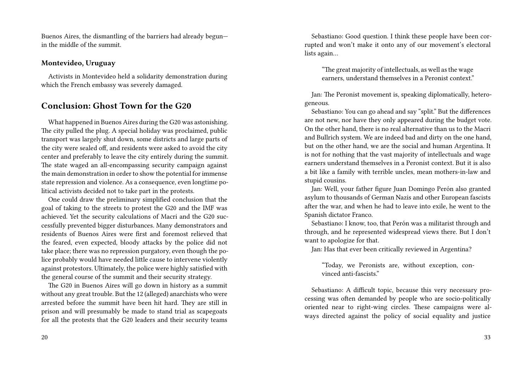Buenos Aires, the dismantling of the barriers had already begun in the middle of the summit.

#### **Montevideo, Uruguay**

Activists in Montevideo held a solidarity demonstration during which the French embassy was severely damaged.

# **Conclusion: Ghost Town for the G20**

What happened in Buenos Aires during the G20 was astonishing. The city pulled the plug. A special holiday was proclaimed, public transport was largely shut down, some districts and large parts of the city were sealed off, and residents were asked to avoid the city center and preferably to leave the city entirely during the summit. The state waged an all-encompassing security campaign against the main demonstration in order to show the potential for immense state repression and violence. As a consequence, even longtime political activists decided not to take part in the protests.

One could draw the preliminary simplified conclusion that the goal of taking to the streets to protest the G20 and the IMF was achieved. Yet the security calculations of Macri and the G20 successfully prevented bigger disturbances. Many demonstrators and residents of Buenos Aires were first and foremost relieved that the feared, even expected, bloody attacks by the police did not take place; there was no repression purgatory, even though the police probably would have needed little cause to intervene violently against protestors. Ultimately, the police were highly satisfied with the general course of the summit and their security strategy.

The G20 in Buenos Aires will go down in history as a summit without any great trouble. But the 12 (alleged) anarchists who were arrested before the summit have been hit hard. They are still in prison and will presumably be made to stand trial as scapegoats for all the protests that the G20 leaders and their security teams

Sebastiano: Good question. I think these people have been corrupted and won't make it onto any of our movement's electoral lists again…

"The great majority of intellectuals, as well as the wage earners, understand themselves in a Peronist context."

Jan: The Peronist movement is, speaking diplomatically, heterogeneous.

Sebastiano: You can go ahead and say "split." But the differences are not new, nor have they only appeared during the budget vote. On the other hand, there is no real alternative than us to the Macri and Bullrich system. We are indeed bad and dirty on the one hand, but on the other hand, we are the social and human Argentina. It is not for nothing that the vast majority of intellectuals and wage earners understand themselves in a Peronist context. But it is also a bit like a family with terrible uncles, mean mothers-in-law and stupid cousins.

Jan: Well, your father figure Juan Domingo Perón also granted asylum to thousands of German Nazis and other European fascists after the war, and when he had to leave into exile, he went to the Spanish dictator Franco.

Sebastiano: I know, too, that Perón was a militarist through and through, and he represented widespread views there. But I don't want to apologize for that.

Jan: Has that ever been critically reviewed in Argentina?

"Today, we Peronists are, without exception, convinced anti-fascists."

Sebastiano: A difficult topic, because this very necessary processing was often demanded by people who are socio-politically oriented near to right-wing circles. These campaigns were always directed against the policy of social equality and justice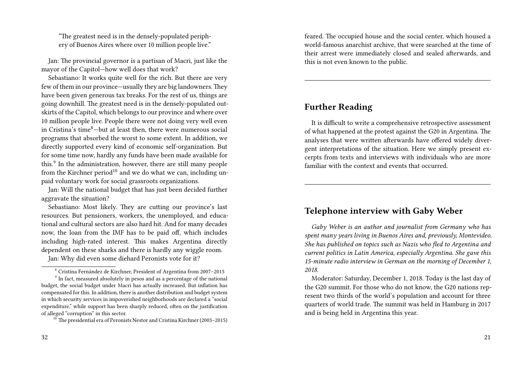"The greatest need is in the densely-populated periphery of Buenos Aires where over 10 million people live."

Jan: The provincial governor is a partisan of Macri, just like the mayor of the Capitol—how well does that work?

Sebastiano: It works quite well for the rich. But there are very few of them in our province—usually they are big landowners.They have been given generous tax breaks. For the rest of us, things are going downhill. The greatest need is in the densely-populated outskirts of the Capitol, which belongs to our province and where over 10 million people live. People there were not doing very well even in Cristina's time $8$ -but at least then, there were numerous social programs that absorbed the worst to some extent. In addition, we directly supported every kind of economic self-organization. But for some time now, hardly any funds have been made available for this.<sup>9</sup> In the administration, however, there are still many people from the Kirchner period<sup>10</sup> and we do what we can, including unpaid voluntary work for social grassroots organizations.

Jan: Will the national budget that has just been decided further aggravate the situation?

Sebastiano: Most likely. They are cutting our province's last resources. But pensioners, workers, the unemployed, and educational and cultural sectors are also hard hit. And for many decades now, the loan from the IMF has to be paid off, which includes including high-rated interest. This makes Argentina directly dependent on these sharks and there is hardly any wiggle room.

Jan: Why did even some diehard Peronists vote for it?

feared. The occupied house and the social center, which housed a world-famous anarchist archive, that were searched at the time of their arrest were immediately closed and sealed afterwards, and this is not even known to the public.

# **Further Reading**

It is difficult to write a comprehensive retrospective assessment of what happened at the protest against the G20 in Argentina. The analyses that were written afterwards have offered widely divergent interpretations of the situation. Here we simply present excerpts from texts and interviews with individuals who are more familiar with the context and events that occurred.

# **Telephone interview with Gaby Weber**

*Gaby Weber is an author and journalist from Germany who has spent many years living in Buenos Aires and, previously, Montevideo. She has published on topics such as Nazis who fled to Argentina and current politics in Latin America, especially Argentina. She gave this 15-minute radio interview in German on the morning of December 1, 2018.*

<sup>8</sup> Cristina Fernández de Kirchner, President of Argentina from 2007–2015

<sup>&</sup>lt;sup>9</sup> In fact, measured absolutely in pesos and as a percentage of the national budget, the social budget under Macri has actually increased. But inflation has compensated for this. In addition, there is another distribution and budget system in which security services in impoverished neighborhoods are declared a "social expenditure," while support has been sharply reduced, often on the justification of alleged "corruption" in this sector.

 $10$ <sup>10</sup> The presidential era of Peronists Nestor and Cristina Kirchner (2003–2015)

Moderator: Saturday, December 1, 2018. Today is the last day of the G20 summit. For those who do not know, the G20 nations represent two thirds of the world's population and account for three quarters of world trade. The summit was held in Hamburg in 2017 and is being held in Argentina this year.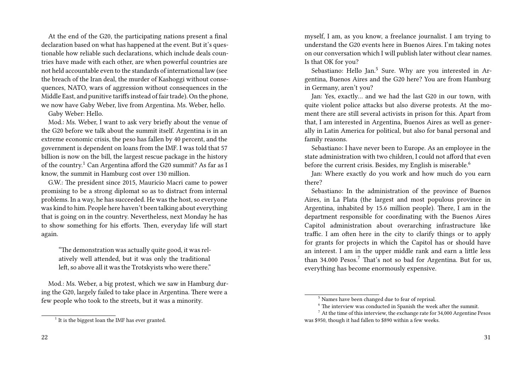At the end of the G20, the participating nations present a final declaration based on what has happened at the event. But it's questionable how reliable such declarations, which include deals countries have made with each other, are when powerful countries are not held accountable even to the standards of international law (see the breach of the Iran deal, the murder of Kashoggi without consequences, NATO, wars of aggression without consequences in the Middle East, and punitive tariffs instead of fair trade). On the phone, we now have Gaby Weber, live from Argentina. Ms. Weber, hello.

Gaby Weber: Hello.

Mod.: Ms. Weber, I want to ask very briefly about the venue of the G20 before we talk about the summit itself. Argentina is in an extreme economic crisis, the peso has fallen by 40 percent, and the government is dependent on loans from the IMF. I was told that 57 billion is now on the bill, the largest rescue package in the history of the country.<sup>1</sup> Can Argentina afford the G20 summit? As far as I know, the summit in Hamburg cost over 130 million.

G.W.: The president since 2015, Mauricio Macri came to power promising to be a strong diplomat so as to distract from internal problems. In a way, he has succeeded. He was the host, so everyone was kind to him. People here haven't been talking about everything that is going on in the country. Nevertheless, next Monday he has to show something for his efforts. Then, everyday life will start again.

"The demonstration was actually quite good, it was relatively well attended, but it was only the traditional left, so above all it was the Trotskyists who were there."

Mod.: Ms. Weber, a big protest, which we saw in Hamburg during the G20, largely failed to take place in Argentina. There were a few people who took to the streets, but it was a minority.

myself, I am, as you know, a freelance journalist. I am trying to understand the G20 events here in Buenos Aires. I'm taking notes on our conversation which I will publish later without clear names. Is that OK for you?

Sebastiano: Hello Jan.<sup>5</sup> Sure. Why are you interested in Argentina, Buenos Aires and the G20 here? You are from Hamburg in Germany, aren't you?

Jan: Yes, exactly… and we had the last G20 in our town, with quite violent police attacks but also diverse protests. At the moment there are still several activists in prison for this. Apart from that, I am interested in Argentina, Buenos Aires as well as generally in Latin America for political, but also for banal personal and family reasons.

Sebastiano: I have never been to Europe. As an employee in the state administration with two children, I could not afford that even before the current crisis. Besides, my English is miserable.<sup>6</sup>

Jan: Where exactly do you work and how much do you earn there?

Sebastiano: In the administration of the province of Buenos Aires, in La Plata (the largest and most populous province in Argentina, inhabited by 15.6 million people). There, I am in the department responsible for coordinating with the Buenos Aires Capitol administration about overarching infrastructure like traffic. I am often here in the city to clarify things or to apply for grants for projects in which the Capitol has or should have an interest. I am in the upper middle rank and earn a little less than  $34.000$  Pesos.<sup>7</sup> That's not so bad for Argentina. But for us, everything has become enormously expensive.

<sup>&</sup>lt;sup>1</sup> It is the biggest loan the IMF has ever granted.

<sup>5</sup> Names have been changed due to fear of reprisal.

 $6$  The interview was conducted in Spanish the week after the summit.

 $^7$  At the time of this interview, the exchange rate for 34,000 Argentine Pesos was \$950, though it had fallen to \$890 within a few weeks.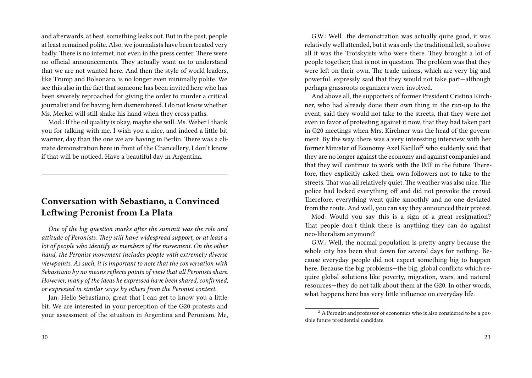and afterwards, at best, something leaks out. But in the past, people at least remained polite. Also, we journalists have been treated very badly. There is no internet, not even in the press center. There were no official announcements. They actually want us to understand that we are not wanted here. And then the style of world leaders, like Trump and Bolsonaro, is no longer even minimally polite. We see this also in the fact that someone has been invited here who has been severely reproached for giving the order to murder a critical journalist and for having him dismembered. I do not know whether Ms. Merkel will still shake his hand when they cross paths.

Mod.: If the oil quality is okay, maybe she will. Ms. Weber I thank you for talking with me. I wish you a nice, and indeed a little bit warmer, day than the one we are having in Berlin. There was a climate demonstration here in front of the Chancellery, I don't know if that will be noticed. Have a beautiful day in Argentina.

# **Conversation with Sebastiano, a Convinced Leftwing Peronist from La Plata**

*One of the big question marks after the summit was the role and attitude of Peronists. They still have widespread support, or at least a lot of people who identify as members of the movement. On the other hand, the Peronist movement includes people with extremely diverse viewpoints. As such, it is important to note that the conversation with Sebastiano by no means reflects points of view that all Peronists share. However, many of the ideas he expressed have been shared, confirmed, or expressed in similar ways by others from the Peronist context.*

Jan: Hello Sebastiano, great that I can get to know you a little bit. We are interested in your perception of the G20 protests and your assessment of the situation in Argentina and Peronism. Me,

G.W.: Well…the demonstration was actually quite good, it was relatively well attended, but it was only the traditional left, so above all it was the Trotskyists who were there. They brought a lot of people together; that is not in question. The problem was that they were left on their own. The trade unions, which are very big and powerful, expressly said that they would not take part—although perhaps grassroots organizers were involved.

And above all, the supporters of former President Cristina Kirchner, who had already done their own thing in the run-up to the event, said they would not take to the streets, that they were not even in favor of protesting against it now, that they had taken part in G20 meetings when Mrs. Kirchner was the head of the government. By the way, there was a very interesting interview with her former Minister of Economy Axel Kicillof<sup>2</sup> who suddenly said that they are no longer against the economy and against companies and that they will continue to work with the IMF in the future. Therefore, they explicitly asked their own followers not to take to the streets. That was all relatively quiet. The weather was also nice. The police had locked everything off and did not provoke the crowd. Therefore, everything went quite smoothly and no one deviated from the route. And well, you can say they announced their protest.

Mod: Would you say this is a sign of a great resignation? That people don't think there is anything they can do against neo-liberalism anymore?

G.W.: Well, the normal population is pretty angry because the whole city has been shut down for several days for nothing. Because everyday people did not expect something big to happen here. Because the big problems—the big, global conflicts which require global solutions like poverty, migration, wars, and natural resources—they do not talk about them at the G20. In other words, what happens here has very little influence on everyday life.

<sup>&</sup>lt;sup>2</sup> A Peronist and professor of economics who is also considered to be a possible future presidential candidate.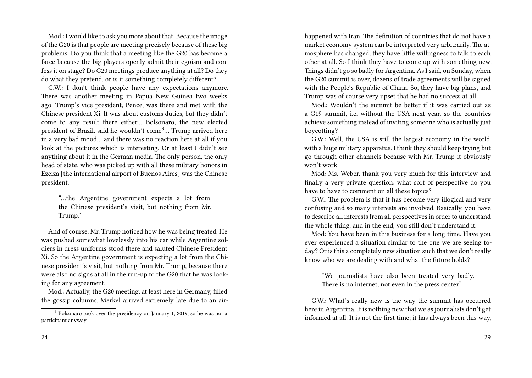Mod.: I would like to ask you more about that. Because the image of the G20 is that people are meeting precisely because of these big problems. Do you think that a meeting like the G20 has become a farce because the big players openly admit their egoism and confess it on stage? Do G20 meetings produce anything at all? Do they do what they pretend, or is it something completely different?

G.W.: I don't think people have any expectations anymore. There was another meeting in Papua New Guinea two weeks ago. Trump's vice president, Pence, was there and met with the Chinese president Xi. It was about customs duties, but they didn't come to any result there either… Bolsonaro, the new elected president of Brazil, said he wouldn't come3… Trump arrived here in a very bad mood… and there was no reaction here at all if you look at the pictures which is interesting. Or at least I didn't see anything about it in the German media. The only person, the only head of state, who was picked up with all these military honors in Ezeiza [the international airport of Buenos Aires] was the Chinese president.

"…the Argentine government expects a lot from the Chinese president's visit, but nothing from Mr. Trump."

And of course, Mr. Trump noticed how he was being treated. He was pushed somewhat lovelessly into his car while Argentine soldiers in dress uniforms stood there and saluted Chinese President Xi. So the Argentine government is expecting a lot from the Chinese president's visit, but nothing from Mr. Trump, because there were also no signs at all in the run-up to the G20 that he was looking for any agreement.

Mod.: Actually, the G20 meeting, at least here in Germany, filled the gossip columns. Merkel arrived extremely late due to an air-

24

happened with Iran. The definition of countries that do not have a market economy system can be interpreted very arbitrarily. The atmosphere has changed; they have little willingness to talk to each other at all. So I think they have to come up with something new. Things didn't go so badly for Argentina. As I said, on Sunday, when the G20 summit is over, dozens of trade agreements will be signed with the People's Republic of China. So, they have big plans, and Trump was of course very upset that he had no success at all.

Mod.: Wouldn't the summit be better if it was carried out as a G19 summit, i.e. without the USA next year, so the countries achieve something instead of inviting someone who is actually just boycotting?

G.W.: Well, the USA is still the largest economy in the world, with a huge military apparatus. I think they should keep trying but go through other channels because with Mr. Trump it obviously won't work.

Mod: Ms. Weber, thank you very much for this interview and finally a very private question: what sort of perspective do you have to have to comment on all these topics?

G.W.: The problem is that it has become very illogical and very confusing and so many interests are involved. Basically, you have to describe all interests from all perspectives in order to understand the whole thing, and in the end, you still don't understand it.

Mod: You have been in this business for a long time. Have you ever experienced a situation similar to the one we are seeing today? Or is this a completely new situation such that we don't really know who we are dealing with and what the future holds?

"We journalists have also been treated very badly. There is no internet, not even in the press center."

G.W.: What's really new is the way the summit has occurred here in Argentina. It is nothing new that we as journalists don't get informed at all. It is not the first time; it has always been this way,

<sup>&</sup>lt;sup>3</sup> Bolsonaro took over the presidency on January 1, 2019, so he was not a participant anyway.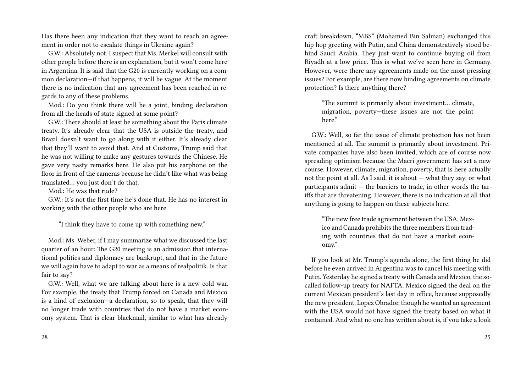Has there been any indication that they want to reach an agreement in order not to escalate things in Ukraine again?

G.W.: Absolutely not. I suspect that Ms. Merkel will consult with other people before there is an explanation, but it won't come here in Argentina. It is said that the G20 is currently working on a common declaration—if that happens, it will be vague. At the moment there is no indication that any agreement has been reached in regards to any of these problems.

Mod.: Do you think there will be a joint, binding declaration from all the heads of state signed at some point?

G.W.: There should at least be something about the Paris climate treaty. It's already clear that the USA is outside the treaty, and Brazil doesn't want to go along with it either. It's already clear that they'll want to avoid that. And at Customs, Trump said that he was not willing to make any gestures towards the Chinese. He gave very nasty remarks here. He also put his earphone on the floor in front of the cameras because he didn't like what was being translated… you just don't do that.

Mod.: He was that rude?

G.W.: It's not the first time he's done that. He has no interest in working with the other people who are here.

"I think they have to come up with something new."

Mod.: Ms. Weber, if I may summarize what we discussed the last quarter of an hour: The G20 meeting is an admission that international politics and diplomacy are bankrupt, and that in the future we will again have to adapt to war as a means of realpolitik. Is that fair to say?

G.W.: Well, what we are talking about here is a new cold war. For example, the treaty that Trump forced on Canada and Mexico is a kind of exclusion—a declaration, so to speak, that they will no longer trade with countries that do not have a market economy system. That is clear blackmail, similar to what has already craft breakdown, "MBS" (Mohamed Bin Salman) exchanged this hip hop greeting with Putin, and China demonstratively stood behind Saudi Arabia. They just want to continue buying oil from Riyadh at a low price. This is what we've seen here in Germany. However, were there any agreements made on the most pressing issues? For example, are there now binding agreements on climate protection? Is there anything there?

"The summit is primarily about investment… climate, migration, poverty—these issues are not the point here."

G.W.: Well, so far the issue of climate protection has not been mentioned at all. The summit is primarily about investment. Private companies have also been invited, which are of course now spreading optimism because the Macri government has set a new course. However, climate, migration, poverty, that is here actually not the point at all. As I said, it is about — what they say, or what participants admit — the barriers to trade, in other words the tariffs that are threatening. However, there is no indication at all that anything is going to happen on these subjects here.

"The new free trade agreement between the USA, Mexico and Canada prohibits the three members from trading with countries that do not have a market economy."

If you look at Mr. Trump's agenda alone, the first thing he did before he even arrived in Argentina was to cancel his meeting with Putin. Yesterday he signed a treaty with Canada and Mexico, the socalled follow-up treaty for NAFTA. Mexico signed the deal on the current Mexican president's last day in office, because supposedly the new president, Lopez Obrador, though he wanted an agreement with the USA would not have signed the treaty based on what it contained. And what no one has written about is, if you take a look